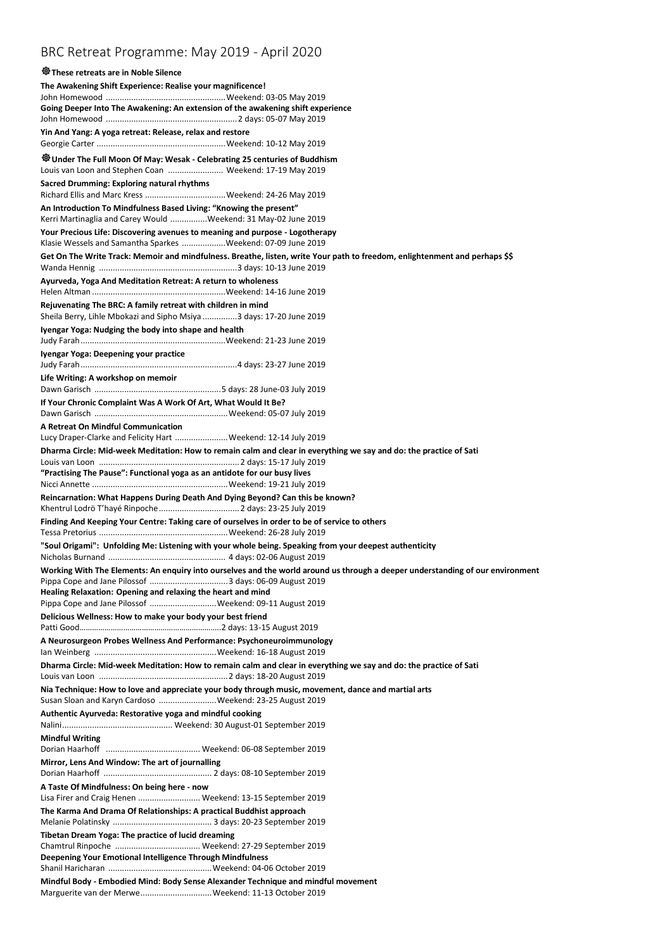## BRC Retreat Programme: May 2019 - April 2020

## **These retreats are in Noble Silence The Awakening Shift Experience: Realise your magnificence!** John Homewood ....................................................Weekend: 03-05 May 2019 **Going Deeper Into The Awakening: An extension of the awakening shift experience** John Homewood .........................................................2 days: 05-07 May 2019 **Yin And Yang: A yoga retreat: Release, relax and restore**  Georgie Carter ........................................................Weekend: 10-12 May 2019 **Under The Full Moon Of May: Wesak - Celebrating 25 centuries of Buddhism** Louis van Loon and Stephen Coan ........................ Weekend: 17-19 May 2019 **Sacred Drumming: Exploring natural rhythms** Richard Ellis and Marc Kress ...................................Weekend: 24-26 May 2019 **An Introduction To Mindfulness Based Living: "Knowing the present"** Kerri Martinaglia and Carey Would ................Weekend: 31 May-02 June 2019 **Your Precious Life: Discovering avenues to meaning and purpose - Logotherapy** Klasie Wessels and Samantha Sparkes ...................Weekend: 07-09 June 2019 **Get On The Write Track: Memoir and mindfulness. Breathe, listen, write Your path to freedom, enlightenment and perhaps \$\$** Wanda Hennig ............................................................3 days: 10-13 June 2019 **Ayurveda, Yoga And Meditation Retreat: A return to wholeness** Helen Altman ..........................................................Weekend: 14-16 June 2019 **Rejuvenating The BRC: A family retreat with children in mind** Sheila Berry, Lihle Mbokazi and Sipho Msiya ...............3 days: 17-20 June 2019 **Iyengar Yoga: Nudging the body into shape and health** Judy Farah...............................................................Weekend: 21-23 June 2019 **Iyengar Yoga: Deepening your practice** Judy Farah....................................................................4 days: 23-27 June 2019 **Life Writing: A workshop on memoir** Dawn Garisch .......................................................5 days: 28 June-03 July 2019 **If Your Chronic Complaint Was A Work Of Art, What Would It Be?** Dawn Garisch ..........................................................Weekend: 05-07 July 2019 **A Retreat On Mindful Communication** Lucy Draper-Clarke and Felicity Hart .......................Weekend: 12-14 July 2019 **Dharma Circle: Mid-week Meditation: How to remain calm and clear in everything we say and do: the practice of Sati** Louis van Loon .............................................................2 days: 15-17 July 2019 **"Practising The Pause": Functional yoga as an antidote for our busy lives** Nicci Annette ...........................................................Weekend: 19-21 July 2019 **Reincarnation: What Happens During Death And Dying Beyond? Can this be known?** Khentrul Lodrö T'hayé Rinpoche...................................2 days: 23-25 July 2019 **Finding And Keeping Your Centre: Taking care of ourselves in order to be of service to others**  Tessa Pretorius ........................................................Weekend: 26-28 July 2019 **"Soul Origami": Unfolding Me: Listening with your whole being. Speaking from your deepest authenticity** Nicholas Burnand ................................................... 4 days: 02-06 August 2019 **Working With The Elements: An enquiry into ourselves and the world around us through a deeper understanding of our environment**  Pippa Cope and Jane Pilossof ..................................3 days: 06-09 August 2019 **Healing Relaxation: Opening and relaxing the heart and mind** Pippa Cope and Jane Pilossof .............................Weekend: 09-11 August 2019 **Delicious Wellness: How to make your body your best friend** Patti Good…………………………………………………………..2 days: 13-15 August 2019 **A Neurosurgeon Probes Wellness And Performance: Psychoneuroimmunology** Ian Weinberg .....................................................Weekend: 16-18 August 2019 **Dharma Circle: Mid-week Meditation: How to remain calm and clear in everything we say and do: the practice of Sati**  Louis van Loon ........................................................2 days: 18-20 August 2019 **Nia Technique: How to love and appreciate your body through music, movement, dance and martial arts** Susan Sloan and Karyn Cardoso .........................Weekend: 23-25 August 2019 **Authentic Ayurveda: Restorative yoga and mindful cooking**  Nalini................................................ Weekend: 30 August-01 September 2019 **Mindful Writing**  Dorian Haarhoff ......................................... Weekend: 06-08 September 2019 **Mirror, Lens And Window: The art of journalling**  Dorian Haarhoff ............................................... 2 days: 08-10 September 2019 **A Taste Of Mindfulness: On being here - now**  Lisa Firer and Craig Henen ........................... Weekend: 13-15 September 2019 **The Karma And Drama Of Relationships: A practical Buddhist approach** Melanie Polatinsky ........................................... 3 days: 20-23 September 2019 **Tibetan Dream Yoga: The practice of lucid dreaming**  Chamtrul Rinpoche ..................................... Weekend: 27-29 September 2019 **Deepening Your Emotional Intelligence Through Mindfulness** Shanil Haricharan .............................................Weekend: 04-06 October 2019 **Mindful Body - Embodied Mind: Body Sense Alexander Technique and mindful movement** Marguerite van der Merwe...............................Weekend: 11-13 October 2019